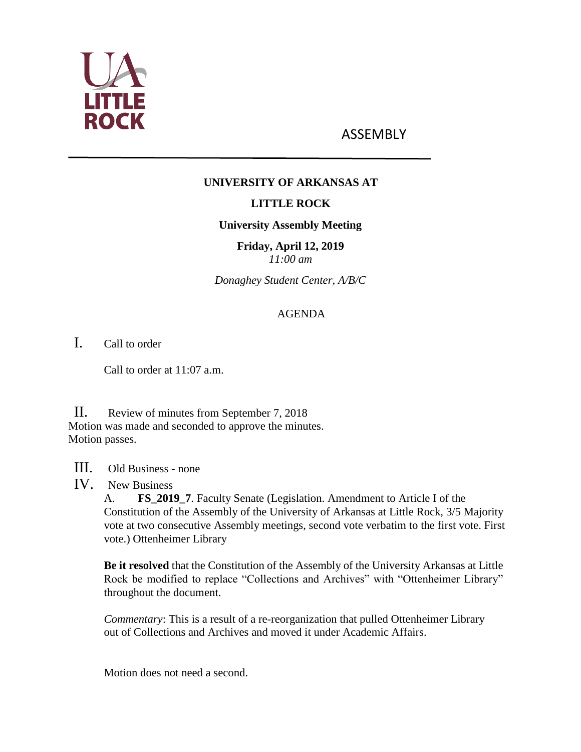

# ASSEMBLY

## **UNIVERSITY OF ARKANSAS AT**

## **LITTLE ROCK**

#### **University Assembly Meeting**

**Friday, April 12, 2019** *11:00 am*

*Donaghey Student Center, A/B/C*

## AGENDA

I. Call to order

Call to order at 11:07 a.m.

II. Review of minutes from September 7, 2018 Motion was made and seconded to approve the minutes. Motion passes.

III. Old Business - none

IV. New Business

A. **FS\_2019\_7**. Faculty Senate (Legislation. Amendment to Article I of the Constitution of the Assembly of the University of Arkansas at Little Rock, 3/5 Majority vote at two consecutive Assembly meetings, second vote verbatim to the first vote. First vote.) Ottenheimer Library

**Be it resolved** that the Constitution of the Assembly of the University Arkansas at Little Rock be modified to replace "Collections and Archives" with "Ottenheimer Library" throughout the document.

*Commentary*: This is a result of a re-reorganization that pulled Ottenheimer Library out of Collections and Archives and moved it under Academic Affairs.

Motion does not need a second.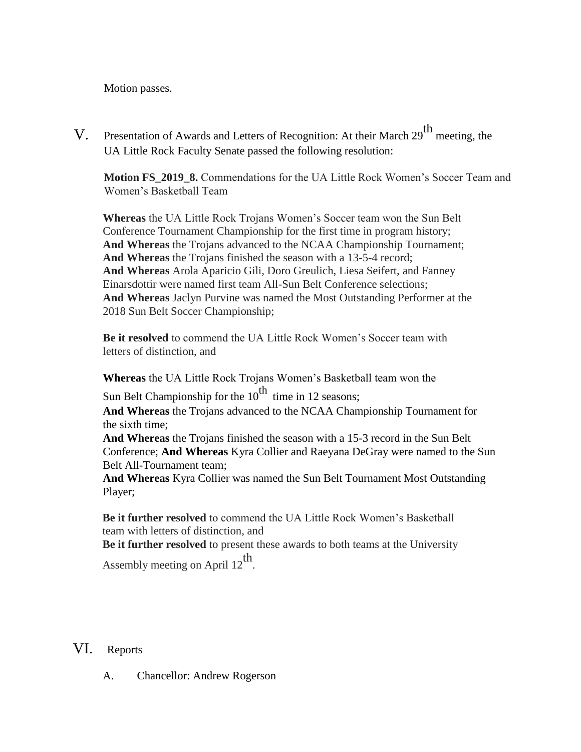Motion passes.

V. Presentation of Awards and Letters of Recognition: At their March 29<sup>th</sup> meeting, the UA Little Rock Faculty Senate passed the following resolution:

**Motion FS\_2019\_8.** Commendations for the UA Little Rock Women's Soccer Team and Women's Basketball Team

**Whereas** the UA Little Rock Trojans Women's Soccer team won the Sun Belt Conference Tournament Championship for the first time in program history; **And Whereas** the Trojans advanced to the NCAA Championship Tournament; **And Whereas** the Trojans finished the season with a 13-5-4 record; **And Whereas** Arola Aparicio Gili, Doro Greulich, Liesa Seifert, and Fanney Einarsdottir were named first team All-Sun Belt Conference selections; **And Whereas** Jaclyn Purvine was named the Most Outstanding Performer at the 2018 Sun Belt Soccer Championship;

**Be it resolved** to commend the UA Little Rock Women's Soccer team with letters of distinction, and

**Whereas** the UA Little Rock Trojans Women's Basketball team won the

Sun Belt Championship for the  $10^{th}$  time in 12 seasons;

**And Whereas** the Trojans advanced to the NCAA Championship Tournament for the sixth time;

**And Whereas** the Trojans finished the season with a 15-3 record in the Sun Belt Conference; **And Whereas** Kyra Collier and Raeyana DeGray were named to the Sun Belt All-Tournament team;

**And Whereas** Kyra Collier was named the Sun Belt Tournament Most Outstanding Player;

**Be it further resolved** to commend the UA Little Rock Women's Basketball team with letters of distinction, and

**Be it further resolved** to present these awards to both teams at the University Assembly meeting on April  $12^{th}$ .

## VI. Reports

A. Chancellor: Andrew Rogerson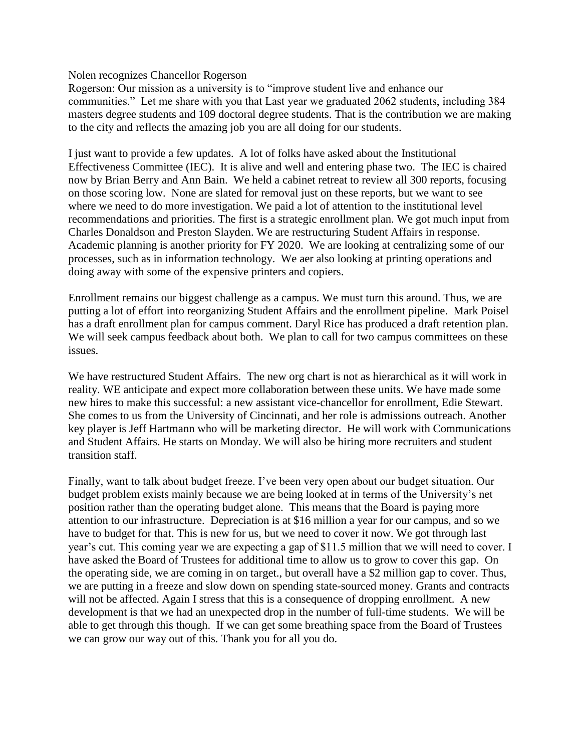Nolen recognizes Chancellor Rogerson

Rogerson: Our mission as a university is to "improve student live and enhance our communities." Let me share with you that Last year we graduated 2062 students, including 384 masters degree students and 109 doctoral degree students. That is the contribution we are making to the city and reflects the amazing job you are all doing for our students.

I just want to provide a few updates. A lot of folks have asked about the Institutional Effectiveness Committee (IEC). It is alive and well and entering phase two. The IEC is chaired now by Brian Berry and Ann Bain. We held a cabinet retreat to review all 300 reports, focusing on those scoring low. None are slated for removal just on these reports, but we want to see where we need to do more investigation. We paid a lot of attention to the institutional level recommendations and priorities. The first is a strategic enrollment plan. We got much input from Charles Donaldson and Preston Slayden. We are restructuring Student Affairs in response. Academic planning is another priority for FY 2020. We are looking at centralizing some of our processes, such as in information technology. We aer also looking at printing operations and doing away with some of the expensive printers and copiers.

Enrollment remains our biggest challenge as a campus. We must turn this around. Thus, we are putting a lot of effort into reorganizing Student Affairs and the enrollment pipeline. Mark Poisel has a draft enrollment plan for campus comment. Daryl Rice has produced a draft retention plan. We will seek campus feedback about both. We plan to call for two campus committees on these issues.

We have restructured Student Affairs. The new org chart is not as hierarchical as it will work in reality. WE anticipate and expect more collaboration between these units. We have made some new hires to make this successful: a new assistant vice-chancellor for enrollment, Edie Stewart. She comes to us from the University of Cincinnati, and her role is admissions outreach. Another key player is Jeff Hartmann who will be marketing director. He will work with Communications and Student Affairs. He starts on Monday. We will also be hiring more recruiters and student transition staff.

Finally, want to talk about budget freeze. I've been very open about our budget situation. Our budget problem exists mainly because we are being looked at in terms of the University's net position rather than the operating budget alone. This means that the Board is paying more attention to our infrastructure. Depreciation is at \$16 million a year for our campus, and so we have to budget for that. This is new for us, but we need to cover it now. We got through last year's cut. This coming year we are expecting a gap of \$11.5 million that we will need to cover. I have asked the Board of Trustees for additional time to allow us to grow to cover this gap. On the operating side, we are coming in on target., but overall have a \$2 million gap to cover. Thus, we are putting in a freeze and slow down on spending state-sourced money. Grants and contracts will not be affected. Again I stress that this is a consequence of dropping enrollment. A new development is that we had an unexpected drop in the number of full-time students. We will be able to get through this though. If we can get some breathing space from the Board of Trustees we can grow our way out of this. Thank you for all you do.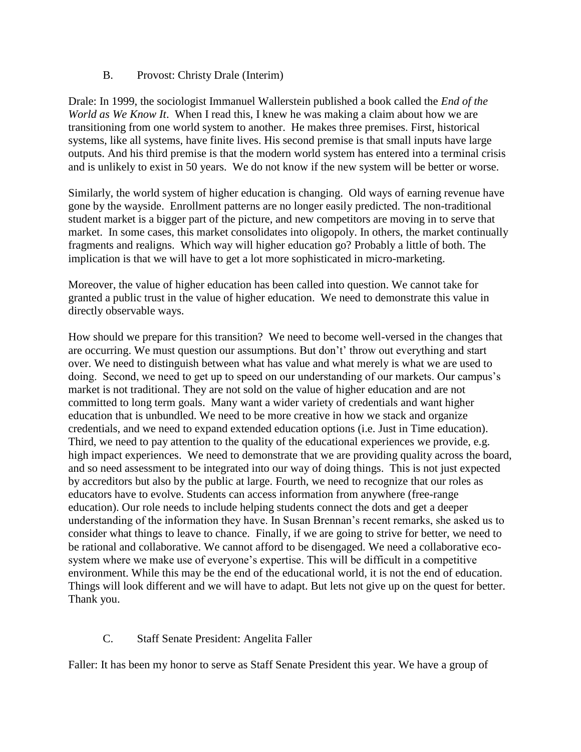#### B. Provost: Christy Drale (Interim)

Drale: In 1999, the sociologist Immanuel Wallerstein published a book called the *End of the World as We Know It*. When I read this, I knew he was making a claim about how we are transitioning from one world system to another. He makes three premises. First, historical systems, like all systems, have finite lives. His second premise is that small inputs have large outputs. And his third premise is that the modern world system has entered into a terminal crisis and is unlikely to exist in 50 years. We do not know if the new system will be better or worse.

Similarly, the world system of higher education is changing. Old ways of earning revenue have gone by the wayside. Enrollment patterns are no longer easily predicted. The non-traditional student market is a bigger part of the picture, and new competitors are moving in to serve that market. In some cases, this market consolidates into oligopoly. In others, the market continually fragments and realigns. Which way will higher education go? Probably a little of both. The implication is that we will have to get a lot more sophisticated in micro-marketing.

Moreover, the value of higher education has been called into question. We cannot take for granted a public trust in the value of higher education. We need to demonstrate this value in directly observable ways.

How should we prepare for this transition? We need to become well-versed in the changes that are occurring. We must question our assumptions. But don't' throw out everything and start over. We need to distinguish between what has value and what merely is what we are used to doing. Second, we need to get up to speed on our understanding of our markets. Our campus's market is not traditional. They are not sold on the value of higher education and are not committed to long term goals. Many want a wider variety of credentials and want higher education that is unbundled. We need to be more creative in how we stack and organize credentials, and we need to expand extended education options (i.e. Just in Time education). Third, we need to pay attention to the quality of the educational experiences we provide, e.g. high impact experiences. We need to demonstrate that we are providing quality across the board, and so need assessment to be integrated into our way of doing things. This is not just expected by accreditors but also by the public at large. Fourth, we need to recognize that our roles as educators have to evolve. Students can access information from anywhere (free-range education). Our role needs to include helping students connect the dots and get a deeper understanding of the information they have. In Susan Brennan's recent remarks, she asked us to consider what things to leave to chance. Finally, if we are going to strive for better, we need to be rational and collaborative. We cannot afford to be disengaged. We need a collaborative ecosystem where we make use of everyone's expertise. This will be difficult in a competitive environment. While this may be the end of the educational world, it is not the end of education. Things will look different and we will have to adapt. But lets not give up on the quest for better. Thank you.

#### C. Staff Senate President: Angelita Faller

Faller: It has been my honor to serve as Staff Senate President this year. We have a group of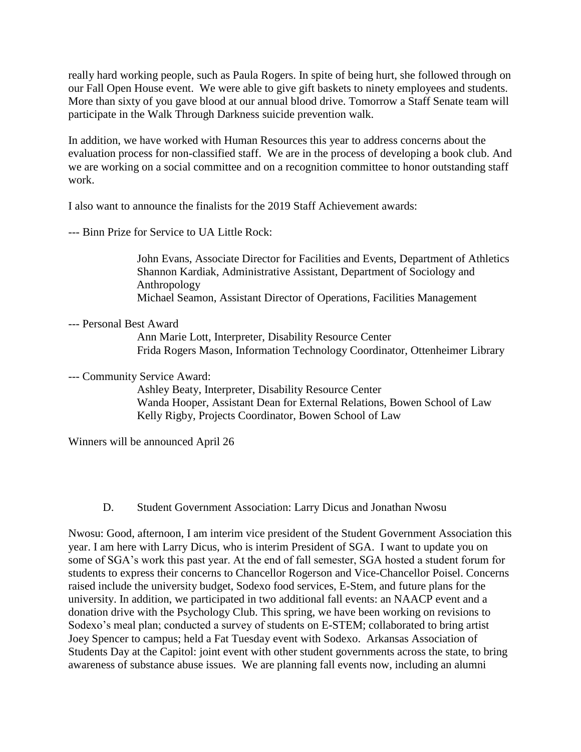really hard working people, such as Paula Rogers. In spite of being hurt, she followed through on our Fall Open House event. We were able to give gift baskets to ninety employees and students. More than sixty of you gave blood at our annual blood drive. Tomorrow a Staff Senate team will participate in the Walk Through Darkness suicide prevention walk.

In addition, we have worked with Human Resources this year to address concerns about the evaluation process for non-classified staff. We are in the process of developing a book club. And we are working on a social committee and on a recognition committee to honor outstanding staff work.

I also want to announce the finalists for the 2019 Staff Achievement awards:

--- Binn Prize for Service to UA Little Rock:

John Evans, Associate Director for Facilities and Events, Department of Athletics Shannon Kardiak, Administrative Assistant, Department of Sociology and Anthropology Michael Seamon, Assistant Director of Operations, Facilities Management

--- Personal Best Award

Ann Marie Lott, Interpreter, Disability Resource Center Frida Rogers Mason, Information Technology Coordinator, Ottenheimer Library

--- Community Service Award:

Ashley Beaty, Interpreter, Disability Resource Center Wanda Hooper, Assistant Dean for External Relations, Bowen School of Law Kelly Rigby, Projects Coordinator, Bowen School of Law

Winners will be announced April 26

D. Student Government Association: Larry Dicus and Jonathan Nwosu

Nwosu: Good, afternoon, I am interim vice president of the Student Government Association this year. I am here with Larry Dicus, who is interim President of SGA. I want to update you on some of SGA's work this past year. At the end of fall semester, SGA hosted a student forum for students to express their concerns to Chancellor Rogerson and Vice-Chancellor Poisel. Concerns raised include the university budget, Sodexo food services, E-Stem, and future plans for the university. In addition, we participated in two additional fall events: an NAACP event and a donation drive with the Psychology Club. This spring, we have been working on revisions to Sodexo's meal plan; conducted a survey of students on E-STEM; collaborated to bring artist Joey Spencer to campus; held a Fat Tuesday event with Sodexo. Arkansas Association of Students Day at the Capitol: joint event with other student governments across the state, to bring awareness of substance abuse issues. We are planning fall events now, including an alumni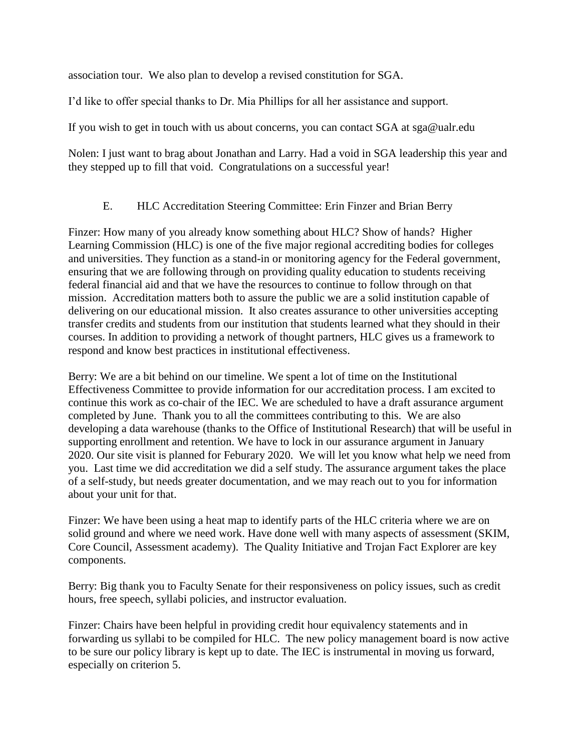association tour. We also plan to develop a revised constitution for SGA.

I'd like to offer special thanks to Dr. Mia Phillips for all her assistance and support.

If you wish to get in touch with us about concerns, you can contact SGA at sga@ualr.edu

Nolen: I just want to brag about Jonathan and Larry. Had a void in SGA leadership this year and they stepped up to fill that void. Congratulations on a successful year!

#### E. HLC Accreditation Steering Committee: Erin Finzer and Brian Berry

Finzer: How many of you already know something about HLC? Show of hands? Higher Learning Commission (HLC) is one of the five major regional accrediting bodies for colleges and universities. They function as a stand-in or monitoring agency for the Federal government, ensuring that we are following through on providing quality education to students receiving federal financial aid and that we have the resources to continue to follow through on that mission. Accreditation matters both to assure the public we are a solid institution capable of delivering on our educational mission. It also creates assurance to other universities accepting transfer credits and students from our institution that students learned what they should in their courses. In addition to providing a network of thought partners, HLC gives us a framework to respond and know best practices in institutional effectiveness.

Berry: We are a bit behind on our timeline. We spent a lot of time on the Institutional Effectiveness Committee to provide information for our accreditation process. I am excited to continue this work as co-chair of the IEC. We are scheduled to have a draft assurance argument completed by June. Thank you to all the committees contributing to this. We are also developing a data warehouse (thanks to the Office of Institutional Research) that will be useful in supporting enrollment and retention. We have to lock in our assurance argument in January 2020. Our site visit is planned for Feburary 2020. We will let you know what help we need from you. Last time we did accreditation we did a self study. The assurance argument takes the place of a self-study, but needs greater documentation, and we may reach out to you for information about your unit for that.

Finzer: We have been using a heat map to identify parts of the HLC criteria where we are on solid ground and where we need work. Have done well with many aspects of assessment (SKIM, Core Council, Assessment academy). The Quality Initiative and Trojan Fact Explorer are key components.

Berry: Big thank you to Faculty Senate for their responsiveness on policy issues, such as credit hours, free speech, syllabi policies, and instructor evaluation.

Finzer: Chairs have been helpful in providing credit hour equivalency statements and in forwarding us syllabi to be compiled for HLC. The new policy management board is now active to be sure our policy library is kept up to date. The IEC is instrumental in moving us forward, especially on criterion 5.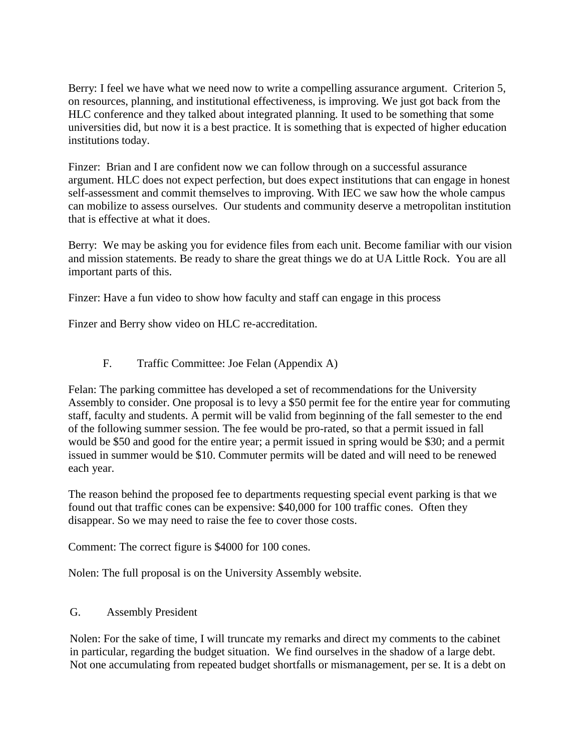Berry: I feel we have what we need now to write a compelling assurance argument. Criterion 5, on resources, planning, and institutional effectiveness, is improving. We just got back from the HLC conference and they talked about integrated planning. It used to be something that some universities did, but now it is a best practice. It is something that is expected of higher education institutions today.

Finzer: Brian and I are confident now we can follow through on a successful assurance argument. HLC does not expect perfection, but does expect institutions that can engage in honest self-assessment and commit themselves to improving. With IEC we saw how the whole campus can mobilize to assess ourselves. Our students and community deserve a metropolitan institution that is effective at what it does.

Berry: We may be asking you for evidence files from each unit. Become familiar with our vision and mission statements. Be ready to share the great things we do at UA Little Rock. You are all important parts of this.

Finzer: Have a fun video to show how faculty and staff can engage in this process

Finzer and Berry show video on HLC re-accreditation.

## F. Traffic Committee: Joe Felan (Appendix A)

Felan: The parking committee has developed a set of recommendations for the University Assembly to consider. One proposal is to levy a \$50 permit fee for the entire year for commuting staff, faculty and students. A permit will be valid from beginning of the fall semester to the end of the following summer session. The fee would be pro-rated, so that a permit issued in fall would be \$50 and good for the entire year; a permit issued in spring would be \$30; and a permit issued in summer would be \$10. Commuter permits will be dated and will need to be renewed each year.

The reason behind the proposed fee to departments requesting special event parking is that we found out that traffic cones can be expensive: \$40,000 for 100 traffic cones. Often they disappear. So we may need to raise the fee to cover those costs.

Comment: The correct figure is \$4000 for 100 cones.

Nolen: The full proposal is on the University Assembly website.

#### G. Assembly President

Nolen: For the sake of time, I will truncate my remarks and direct my comments to the cabinet in particular, regarding the budget situation. We find ourselves in the shadow of a large debt. Not one accumulating from repeated budget shortfalls or mismanagement, per se. It is a debt on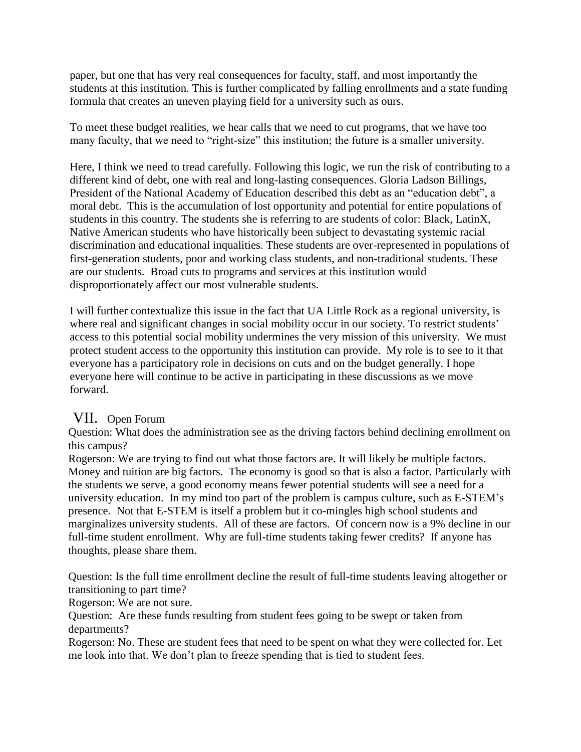paper, but one that has very real consequences for faculty, staff, and most importantly the students at this institution. This is further complicated by falling enrollments and a state funding formula that creates an uneven playing field for a university such as ours.

To meet these budget realities, we hear calls that we need to cut programs, that we have too many faculty, that we need to "right-size" this institution; the future is a smaller university.

Here, I think we need to tread carefully. Following this logic, we run the risk of contributing to a different kind of debt, one with real and long-lasting consequences. Gloria Ladson Billings, President of the National Academy of Education described this debt as an "education debt", a moral debt. This is the accumulation of lost opportunity and potential for entire populations of students in this country. The students she is referring to are students of color: Black, LatinX, Native American students who have historically been subject to devastating systemic racial discrimination and educational inqualities. These students are over-represented in populations of first-generation students, poor and working class students, and non-traditional students. These are our students. Broad cuts to programs and services at this institution would disproportionately affect our most vulnerable students.

I will further contextualize this issue in the fact that UA Little Rock as a regional university, is where real and significant changes in social mobility occur in our society. To restrict students' access to this potential social mobility undermines the very mission of this university. We must protect student access to the opportunity this institution can provide. My role is to see to it that everyone has a participatory role in decisions on cuts and on the budget generally. I hope everyone here will continue to be active in participating in these discussions as we move forward.

# VII. Open Forum

Question: What does the administration see as the driving factors behind declining enrollment on this campus?

Rogerson: We are trying to find out what those factors are. It will likely be multiple factors. Money and tuition are big factors. The economy is good so that is also a factor. Particularly with the students we serve, a good economy means fewer potential students will see a need for a university education. In my mind too part of the problem is campus culture, such as E-STEM's presence. Not that E-STEM is itself a problem but it co-mingles high school students and marginalizes university students. All of these are factors. Of concern now is a 9% decline in our full-time student enrollment. Why are full-time students taking fewer credits? If anyone has thoughts, please share them.

Question: Is the full time enrollment decline the result of full-time students leaving altogether or transitioning to part time?

Rogerson: We are not sure.

Question: Are these funds resulting from student fees going to be swept or taken from departments?

Rogerson: No. These are student fees that need to be spent on what they were collected for. Let me look into that. We don't plan to freeze spending that is tied to student fees.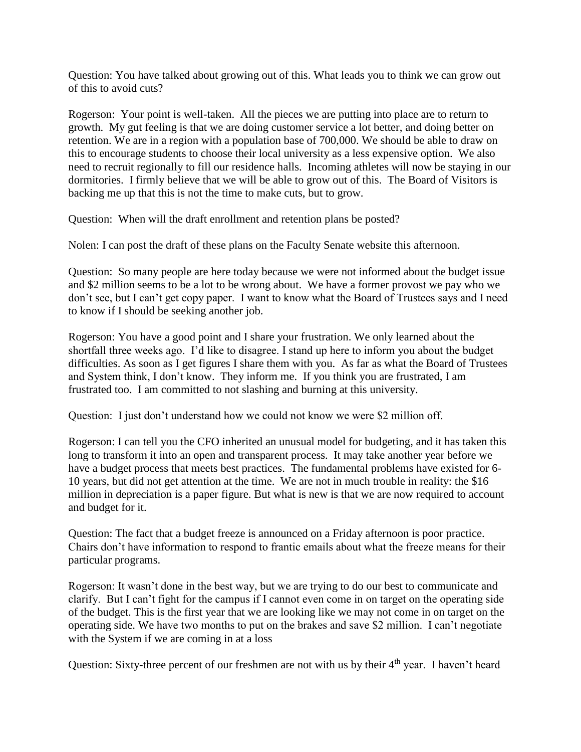Question: You have talked about growing out of this. What leads you to think we can grow out of this to avoid cuts?

Rogerson: Your point is well-taken. All the pieces we are putting into place are to return to growth. My gut feeling is that we are doing customer service a lot better, and doing better on retention. We are in a region with a population base of 700,000. We should be able to draw on this to encourage students to choose their local university as a less expensive option. We also need to recruit regionally to fill our residence halls. Incoming athletes will now be staying in our dormitories. I firmly believe that we will be able to grow out of this. The Board of Visitors is backing me up that this is not the time to make cuts, but to grow.

Question: When will the draft enrollment and retention plans be posted?

Nolen: I can post the draft of these plans on the Faculty Senate website this afternoon.

Question: So many people are here today because we were not informed about the budget issue and \$2 million seems to be a lot to be wrong about. We have a former provost we pay who we don't see, but I can't get copy paper. I want to know what the Board of Trustees says and I need to know if I should be seeking another job.

Rogerson: You have a good point and I share your frustration. We only learned about the shortfall three weeks ago. I'd like to disagree. I stand up here to inform you about the budget difficulties. As soon as I get figures I share them with you. As far as what the Board of Trustees and System think, I don't know. They inform me. If you think you are frustrated, I am frustrated too. I am committed to not slashing and burning at this university.

Question: I just don't understand how we could not know we were \$2 million off.

Rogerson: I can tell you the CFO inherited an unusual model for budgeting, and it has taken this long to transform it into an open and transparent process. It may take another year before we have a budget process that meets best practices. The fundamental problems have existed for 6- 10 years, but did not get attention at the time. We are not in much trouble in reality: the \$16 million in depreciation is a paper figure. But what is new is that we are now required to account and budget for it.

Question: The fact that a budget freeze is announced on a Friday afternoon is poor practice. Chairs don't have information to respond to frantic emails about what the freeze means for their particular programs.

Rogerson: It wasn't done in the best way, but we are trying to do our best to communicate and clarify. But I can't fight for the campus if I cannot even come in on target on the operating side of the budget. This is the first year that we are looking like we may not come in on target on the operating side. We have two months to put on the brakes and save \$2 million. I can't negotiate with the System if we are coming in at a loss

Question: Sixty-three percent of our freshmen are not with us by their 4<sup>th</sup> year. I haven't heard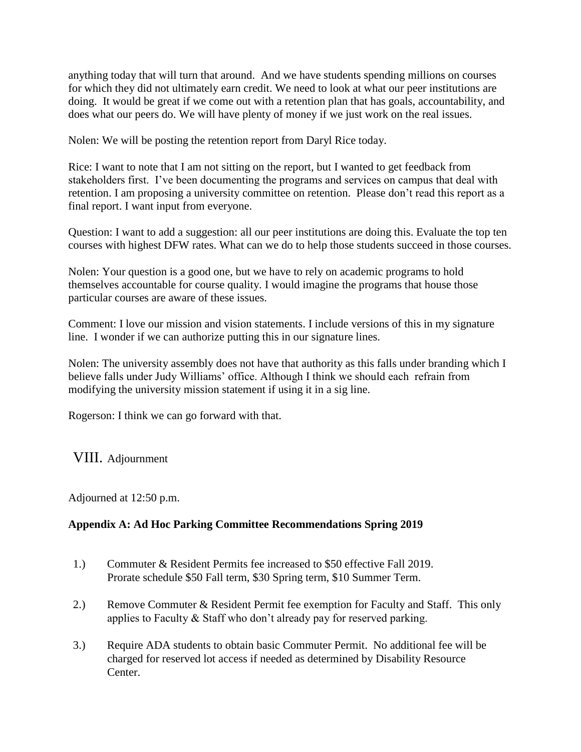anything today that will turn that around. And we have students spending millions on courses for which they did not ultimately earn credit. We need to look at what our peer institutions are doing. It would be great if we come out with a retention plan that has goals, accountability, and does what our peers do. We will have plenty of money if we just work on the real issues.

Nolen: We will be posting the retention report from Daryl Rice today.

Rice: I want to note that I am not sitting on the report, but I wanted to get feedback from stakeholders first. I've been documenting the programs and services on campus that deal with retention. I am proposing a university committee on retention. Please don't read this report as a final report. I want input from everyone.

Question: I want to add a suggestion: all our peer institutions are doing this. Evaluate the top ten courses with highest DFW rates. What can we do to help those students succeed in those courses.

Nolen: Your question is a good one, but we have to rely on academic programs to hold themselves accountable for course quality. I would imagine the programs that house those particular courses are aware of these issues.

Comment: I love our mission and vision statements. I include versions of this in my signature line. I wonder if we can authorize putting this in our signature lines.

Nolen: The university assembly does not have that authority as this falls under branding which I believe falls under Judy Williams' office. Although I think we should each refrain from modifying the university mission statement if using it in a sig line.

Rogerson: I think we can go forward with that.

# VIII. Adjournment

Adjourned at 12:50 p.m.

#### **Appendix A: Ad Hoc Parking Committee Recommendations Spring 2019**

- 1.) Commuter & Resident Permits fee increased to \$50 effective Fall 2019. Prorate schedule \$50 Fall term, \$30 Spring term, \$10 Summer Term.
- 2.) Remove Commuter & Resident Permit fee exemption for Faculty and Staff. This only applies to Faculty & Staff who don't already pay for reserved parking.
- 3.) Require ADA students to obtain basic Commuter Permit. No additional fee will be charged for reserved lot access if needed as determined by Disability Resource Center.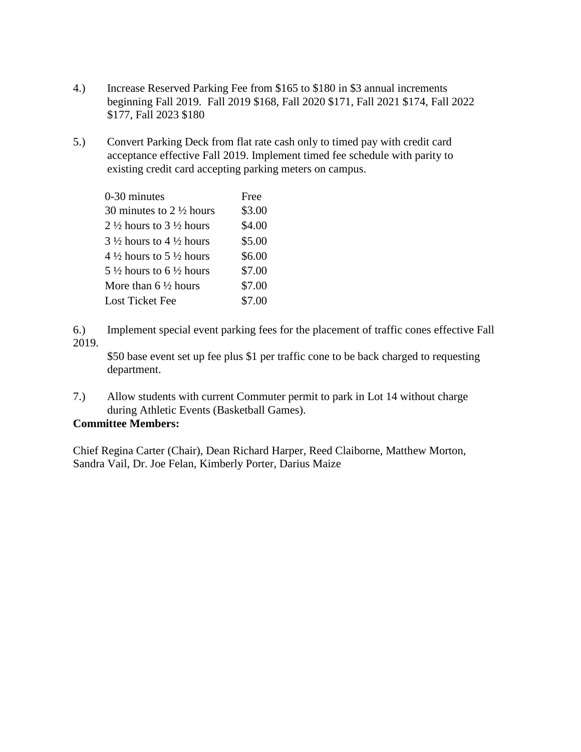- 4.) Increase Reserved Parking Fee from \$165 to \$180 in \$3 annual increments beginning Fall 2019. Fall 2019 \$168, Fall 2020 \$171, Fall 2021 \$174, Fall 2022 \$177, Fall 2023 \$180
- 5.) Convert Parking Deck from flat rate cash only to timed pay with credit card acceptance effective Fall 2019. Implement timed fee schedule with parity to existing credit card accepting parking meters on campus.

| 0-30 minutes                       | Free   |
|------------------------------------|--------|
| 30 minutes to $2\frac{1}{2}$ hours | \$3.00 |
| 2 ½ hours to 3 ½ hours             | \$4.00 |
| 3 ½ hours to 4 ½ hours             | \$5.00 |
| 4 ½ hours to 5 ½ hours             | \$6.00 |
| 5 ½ hours to 6 ½ hours             | \$7.00 |
| More than 6 $\frac{1}{2}$ hours    | \$7.00 |
| Lost Ticket Fee                    | \$7.00 |
|                                    |        |

6.) Implement special event parking fees for the placement of traffic cones effective Fall 2019.

\$50 base event set up fee plus \$1 per traffic cone to be back charged to requesting department.

7.) Allow students with current Commuter permit to park in Lot 14 without charge during Athletic Events (Basketball Games).

#### **Committee Members:**

Chief Regina Carter (Chair), Dean Richard Harper, Reed Claiborne, Matthew Morton, Sandra Vail, Dr. Joe Felan, Kimberly Porter, Darius Maize